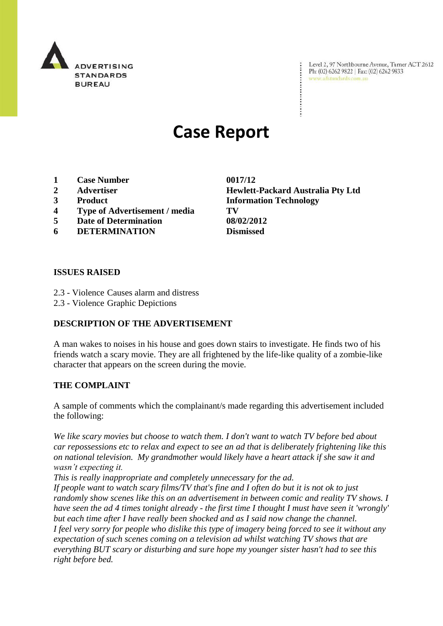

Level 2, 97 Northbourne Avenue, Turner ACT 2612 Level 2, 97 Northbourne Avenue, Turne<br>Ph: (02) 6262 9822 | Fax: (02) 6262 9833 www.adstandards.com.au

# **Case Report**

- **1 Case Number 0017/12**
- 
- 
- **4 Type of Advertisement / media TV**
- **5 Date of Determination 08/02/2012**
- **6 DETERMINATION Dismissed**

**2 Advertiser Hewlett-Packard Australia Pty Ltd 3 Product Information Technology**

#### **ISSUES RAISED**

- 2.3 Violence Causes alarm and distress
- 2.3 Violence Graphic Depictions

### **DESCRIPTION OF THE ADVERTISEMENT**

A man wakes to noises in his house and goes down stairs to investigate. He finds two of his friends watch a scary movie. They are all frightened by the life-like quality of a zombie-like character that appears on the screen during the movie.

### **THE COMPLAINT**

A sample of comments which the complainant/s made regarding this advertisement included the following:

*We like scary movies but choose to watch them. I don't want to watch TV before bed about car repossessions etc to relax and expect to see an ad that is deliberately frightening like this on national television. My grandmother would likely have a heart attack if she saw it and wasn't expecting it.* 

*This is really inappropriate and completely unnecessary for the ad.* 

*If people want to watch scary films/TV that's fine and I often do but it is not ok to just randomly show scenes like this on an advertisement in between comic and reality TV shows. I have seen the ad 4 times tonight already - the first time I thought I must have seen it 'wrongly' but each time after I have really been shocked and as I said now change the channel. I feel very sorry for people who dislike this type of imagery being forced to see it without any expectation of such scenes coming on a television ad whilst watching TV shows that are everything BUT scary or disturbing and sure hope my younger sister hasn't had to see this right before bed.*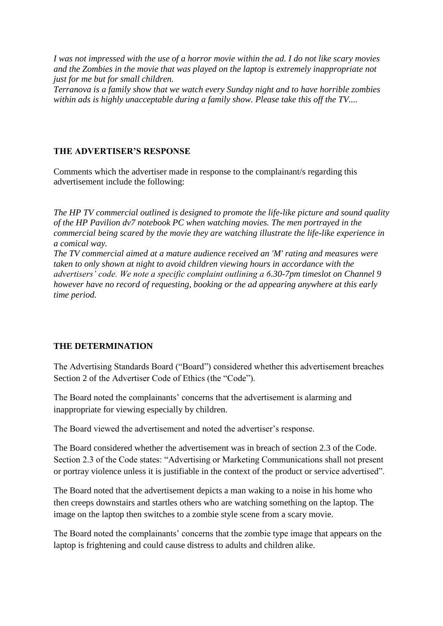*I was not impressed with the use of a horror movie within the ad. I do not like scary movies and the Zombies in the movie that was played on the laptop is extremely inappropriate not just for me but for small children.* 

*Terranova is a family show that we watch every Sunday night and to have horrible zombies within ads is highly unacceptable during a family show. Please take this off the TV....*

## **THE ADVERTISER'S RESPONSE**

Comments which the advertiser made in response to the complainant/s regarding this advertisement include the following:

*The HP TV commercial outlined is designed to promote the life-like picture and sound quality of the HP Pavilion dv7 notebook PC when watching movies. The men portrayed in the commercial being scared by the movie they are watching illustrate the life-like experience in a comical way.* 

*The TV commercial aimed at a mature audience received an 'M' rating and measures were taken to only shown at night to avoid children viewing hours in accordance with the advertisers' code. We note a specific complaint outlining a 6.30-7pm timeslot on Channel 9 however have no record of requesting, booking or the ad appearing anywhere at this early time period.*

### **THE DETERMINATION**

The Advertising Standards Board ("Board") considered whether this advertisement breaches Section 2 of the Advertiser Code of Ethics (the "Code").

The Board noted the complainants' concerns that the advertisement is alarming and inappropriate for viewing especially by children.

The Board viewed the advertisement and noted the advertiser"s response.

The Board considered whether the advertisement was in breach of section 2.3 of the Code. Section 2.3 of the Code states: "Advertising or Marketing Communications shall not present or portray violence unless it is justifiable in the context of the product or service advertised".

The Board noted that the advertisement depicts a man waking to a noise in his home who then creeps downstairs and startles others who are watching something on the laptop. The image on the laptop then switches to a zombie style scene from a scary movie.

The Board noted the complainants' concerns that the zombie type image that appears on the laptop is frightening and could cause distress to adults and children alike.